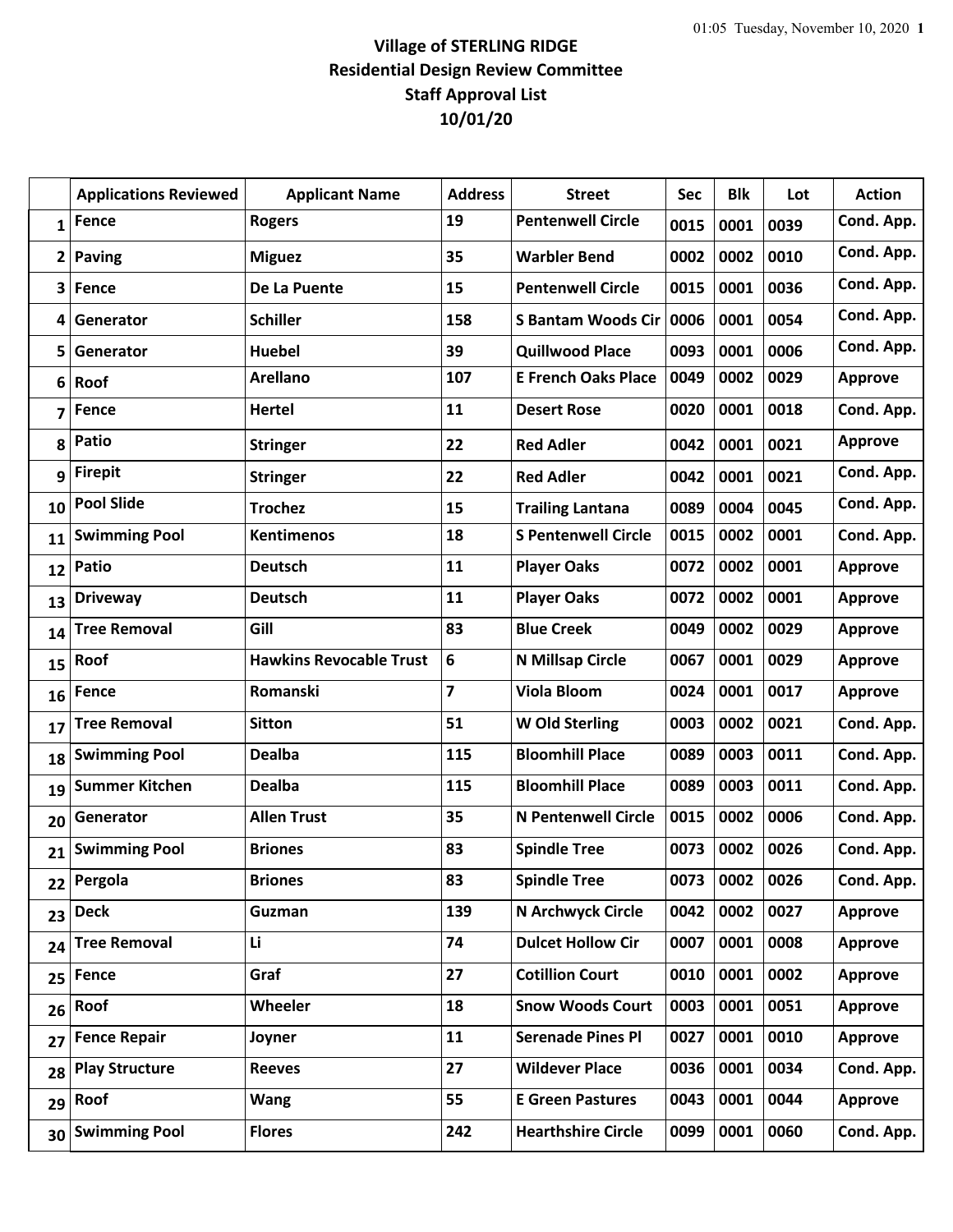## **Village of STERLING RIDGE Residential Design Review Committee Staff Approval List 10/01/20**

|                | <b>Applications Reviewed</b> | <b>Applicant Name</b>          | <b>Address</b> | <b>Street</b>              | <b>Sec</b> | <b>Blk</b> | Lot  | <b>Action</b>  |
|----------------|------------------------------|--------------------------------|----------------|----------------------------|------------|------------|------|----------------|
| $\mathbf{1}$   | <b>Fence</b>                 | <b>Rogers</b>                  | 19             | <b>Pentenwell Circle</b>   | 0015       | 0001       | 0039 | Cond. App.     |
| $\overline{2}$ | <b>Paving</b>                | <b>Miguez</b>                  | 35             | <b>Warbler Bend</b>        | 0002       | 0002       | 0010 | Cond. App.     |
| 3              | Fence                        | De La Puente                   | 15             | <b>Pentenwell Circle</b>   | 0015       | 0001       | 0036 | Cond. App.     |
| 4              | Generator                    | <b>Schiller</b>                | 158            | <b>S Bantam Woods Cir</b>  | 0006       | 0001       | 0054 | Cond. App.     |
| 5              | Generator                    | <b>Huebel</b>                  | 39             | <b>Quillwood Place</b>     | 0093       | 0001       | 0006 | Cond. App.     |
| 6              | Roof                         | <b>Arellano</b>                | 107            | <b>E French Oaks Place</b> | 0049       | 0002       | 0029 | <b>Approve</b> |
| 7              | <b>Fence</b>                 | <b>Hertel</b>                  | 11             | <b>Desert Rose</b>         | 0020       | 0001       | 0018 | Cond. App.     |
| 8              | <b>Patio</b>                 | <b>Stringer</b>                | 22             | <b>Red Adler</b>           | 0042       | 0001       | 0021 | <b>Approve</b> |
| 9              | <b>Firepit</b>               | <b>Stringer</b>                | 22             | <b>Red Adler</b>           | 0042       | 0001       | 0021 | Cond. App.     |
| 10             | <b>Pool Slide</b>            | <b>Trochez</b>                 | 15             | <b>Trailing Lantana</b>    | 0089       | 0004       | 0045 | Cond. App.     |
| 11             | <b>Swimming Pool</b>         | <b>Kentimenos</b>              | 18             | <b>S Pentenwell Circle</b> | 0015       | 0002       | 0001 | Cond. App.     |
| 12             | <b>Patio</b>                 | <b>Deutsch</b>                 | 11             | <b>Player Oaks</b>         | 0072       | 0002       | 0001 | <b>Approve</b> |
| 13             | <b>Driveway</b>              | <b>Deutsch</b>                 | 11             | <b>Player Oaks</b>         | 0072       | 0002       | 0001 | <b>Approve</b> |
| 14             | <b>Tree Removal</b>          | Gill                           | 83             | <b>Blue Creek</b>          | 0049       | 0002       | 0029 | <b>Approve</b> |
| 15             | Roof                         | <b>Hawkins Revocable Trust</b> | 6              | N Millsap Circle           | 0067       | 0001       | 0029 | <b>Approve</b> |
| 16             | Fence                        | Romanski                       | $\overline{7}$ | <b>Viola Bloom</b>         | 0024       | 0001       | 0017 | <b>Approve</b> |
| 17             | <b>Tree Removal</b>          | <b>Sitton</b>                  | 51             | W Old Sterling             | 0003       | 0002       | 0021 | Cond. App.     |
| 18             | <b>Swimming Pool</b>         | <b>Dealba</b>                  | 115            | <b>Bloomhill Place</b>     | 0089       | 0003       | 0011 | Cond. App.     |
| 19             | <b>Summer Kitchen</b>        | <b>Dealba</b>                  | 115            | <b>Bloomhill Place</b>     | 0089       | 0003       | 0011 | Cond. App.     |
| 20             | Generator                    | <b>Allen Trust</b>             | 35             | <b>N Pentenwell Circle</b> | 0015       | 0002       | 0006 | Cond. App.     |
| 21             | <b>Swimming Pool</b>         | <b>Briones</b>                 | 83             | <b>Spindle Tree</b>        | 0073       | 0002       | 0026 | Cond. App.     |
|                | 22 Pergola                   | <b>Briones</b>                 | 83             | <b>Spindle Tree</b>        | 0073       | 0002       | 0026 | Cond. App.     |
| 23             | <b>Deck</b>                  | Guzman                         | 139            | N Archwyck Circle          | 0042       | 0002       | 0027 | <b>Approve</b> |
| 24             | <b>Tree Removal</b>          | Li                             | 74             | <b>Dulcet Hollow Cir</b>   | 0007       | 0001       | 0008 | <b>Approve</b> |
| 25             | <b>Fence</b>                 | Graf                           | 27             | <b>Cotillion Court</b>     | 0010       | 0001       | 0002 | <b>Approve</b> |
| 26             | Roof                         | <b>Wheeler</b>                 | 18             | <b>Snow Woods Court</b>    | 0003       | 0001       | 0051 | <b>Approve</b> |
| 27             | <b>Fence Repair</b>          | Joyner                         | 11             | <b>Serenade Pines Pl</b>   | 0027       | 0001       | 0010 | <b>Approve</b> |
| 28             | <b>Play Structure</b>        | <b>Reeves</b>                  | 27             | <b>Wildever Place</b>      | 0036       | 0001       | 0034 | Cond. App.     |
| 29             | Roof                         | <b>Wang</b>                    | 55             | <b>E Green Pastures</b>    | 0043       | 0001       | 0044 | <b>Approve</b> |
| 30             | <b>Swimming Pool</b>         | <b>Flores</b>                  | 242            | <b>Hearthshire Circle</b>  | 0099       | 0001       | 0060 | Cond. App.     |